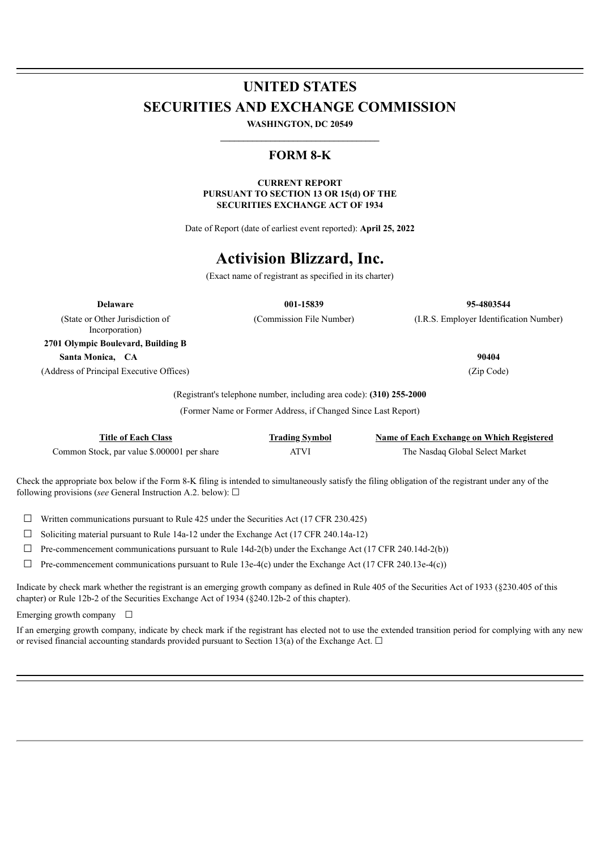# **UNITED STATES SECURITIES AND EXCHANGE COMMISSION**

**WASHINGTON, DC 20549**

## **FORM 8-K**

**CURRENT REPORT PURSUANT TO SECTION 13 OR 15(d) OF THE SECURITIES EXCHANGE ACT OF 1934**

Date of Report (date of earliest event reported): **April 25, 2022**

# **Activision Blizzard, Inc.**

(Exact name of registrant as specified in its charter)

**Delaware 001-15839 95-4803544** (Commission File Number) (I.R.S. Employer Identification Number)

(State or Other Jurisdiction of Incorporation)

## **2701 Olympic Boulevard, Building B**

**Santa Monica, CA 90404**

(Address of Principal Executive Offices) (Zip Code)

(Registrant's telephone number, including area code): **(310) 255-2000**

(Former Name or Former Address, if Changed Since Last Report)

| <b>Title of Each Class</b>                  | <b>Trading Symbol</b> | Name of Each Exchange on Which Registered |
|---------------------------------------------|-----------------------|-------------------------------------------|
| Common Stock, par value \$.000001 per share | <b>ATVI</b>           | The Nasdag Global Select Market           |

Check the appropriate box below if the Form 8-K filing is intended to simultaneously satisfy the filing obligation of the registrant under any of the following provisions (*see* General Instruction A.2. below):  $\Box$ 

 $\Box$  Written communications pursuant to Rule 425 under the Securities Act (17 CFR 230.425)

 $\Box$  Soliciting material pursuant to Rule 14a-12 under the Exchange Act (17 CFR 240.14a-12)

 $\Box$  Pre-commencement communications pursuant to Rule 14d-2(b) under the Exchange Act (17 CFR 240.14d-2(b))

 $\Box$  Pre-commencement communications pursuant to Rule 13e-4(c) under the Exchange Act (17 CFR 240.13e-4(c))

Indicate by check mark whether the registrant is an emerging growth company as defined in Rule 405 of the Securities Act of 1933 (§230.405 of this chapter) or Rule 12b-2 of the Securities Exchange Act of 1934 (§240.12b-2 of this chapter).

Emerging growth company  $\Box$ 

If an emerging growth company, indicate by check mark if the registrant has elected not to use the extended transition period for complying with any new or revised financial accounting standards provided pursuant to Section 13(a) of the Exchange Act.  $\Box$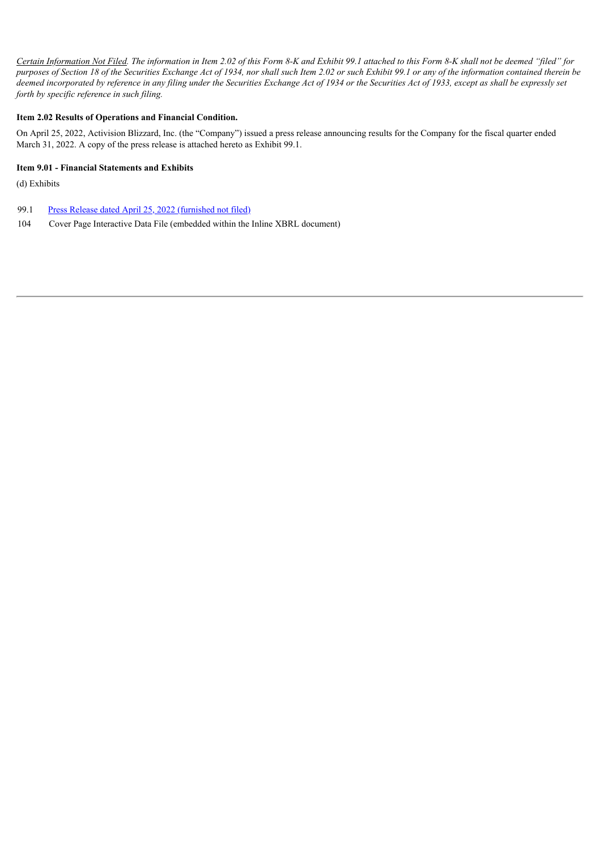Certain Information Not Filed. The information in Item 2.02 of this Form 8-K and Exhibit 99.1 attached to this Form 8-K shall not be deemed "filed" for purposes of Section 18 of the Securities Exchange Act of 1934, nor shall such Item 2.02 or such Exhibit 99.1 or any of the information contained therein be deemed incorporated by reference in any filing under the Securities Exchange Act of 1934 or the Securities Act of 1933, except as shall be expressly set *forth by specific reference in such filing.*

## **Item 2.02 Results of Operations and Financial Condition.**

On April 25, 2022, Activision Blizzard, Inc. (the "Company") issued a press release announcing results for the Company for the fiscal quarter ended March 31, 2022. A copy of the press release is attached hereto as Exhibit 99.1.

## **Item 9.01 - Financial Statements and Exhibits**

(d) Exhibits

- 99.1 Press Release dated April 25, 2022 [\(furnished](#page-3-0) not filed)
- 104 Cover Page Interactive Data File (embedded within the Inline XBRL document)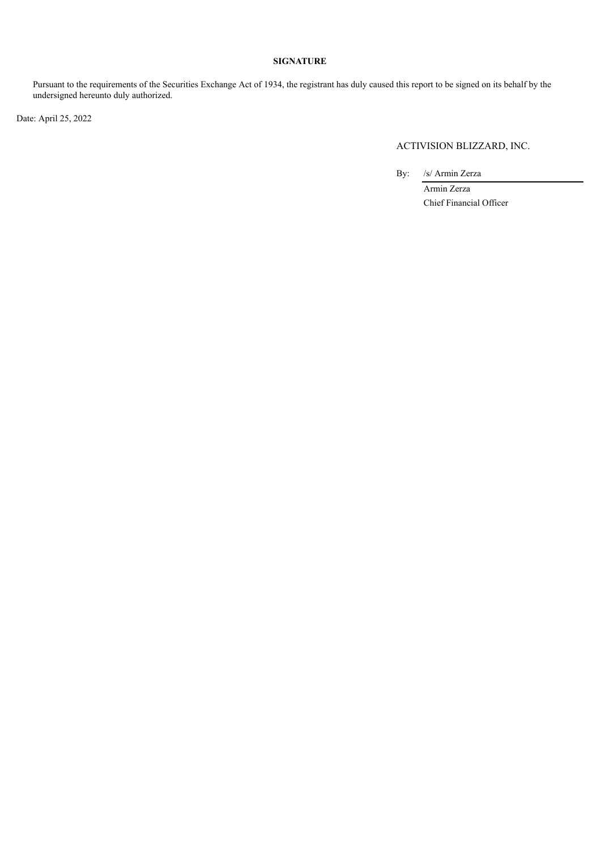## **SIGNATURE**

Pursuant to the requirements of the Securities Exchange Act of 1934, the registrant has duly caused this report to be signed on its behalf by the undersigned hereunto duly authorized.

Date: April 25, 2022

# ACTIVISION BLIZZARD, INC.

By: /s/ Armin Zerza

Armin Zerza Chief Financial Officer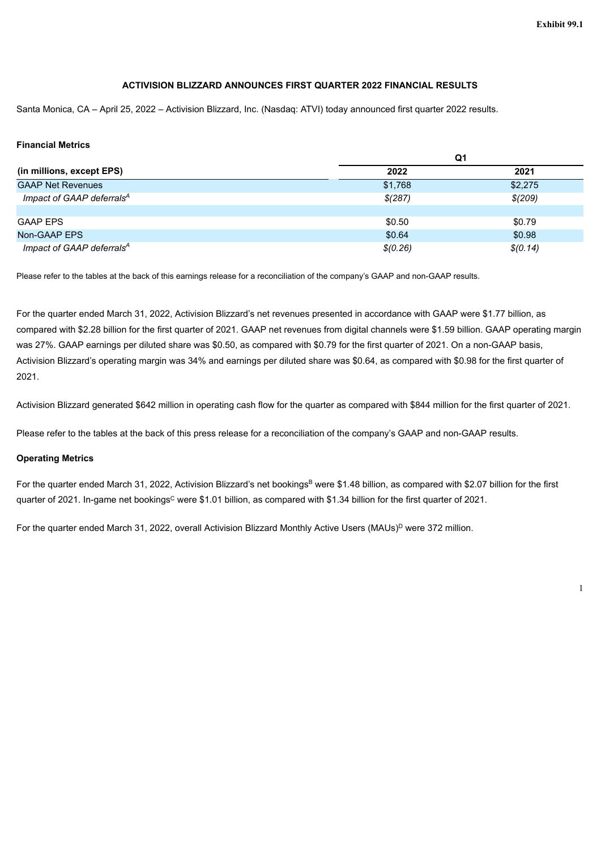1

 $\overline{\phantom{a}}$ 

## **ACTIVISION BLIZZARD ANNOUNCES FIRST QUARTER 2022 FINANCIAL RESULTS**

<span id="page-3-0"></span>Santa Monica, CA – April 25, 2022 – Activision Blizzard, Inc. (Nasdaq: ATVI) today announced first quarter 2022 results.

## **Financial Metrics**

|                                       | Q1       |          |  |  |  |  |  |
|---------------------------------------|----------|----------|--|--|--|--|--|
| (in millions, except EPS)             | 2022     | 2021     |  |  |  |  |  |
| <b>GAAP Net Revenues</b>              | \$1,768  | \$2,275  |  |  |  |  |  |
| Impact of GAAP deferrals <sup>A</sup> | \$(287)  | \$(209)  |  |  |  |  |  |
|                                       |          |          |  |  |  |  |  |
| <b>GAAP EPS</b>                       | \$0.50   | \$0.79   |  |  |  |  |  |
| Non-GAAP EPS                          | \$0.64   | \$0.98   |  |  |  |  |  |
| Impact of GAAP deferrals <sup>A</sup> | \$(0.26) | \$(0.14) |  |  |  |  |  |

Please refer to the tables at the back of this earnings release for a reconciliation of the company's GAAP and non-GAAP results.

For the quarter ended March 31, 2022, Activision Blizzard's net revenues presented in accordance with GAAP were \$1.77 billion, as compared with \$2.28 billion for the first quarter of 2021. GAAP net revenues from digital channels were \$1.59 billion. GAAP operating margin was 27%. GAAP earnings per diluted share was \$0.50, as compared with \$0.79 for the first quarter of 2021. On a non-GAAP basis, Activision Blizzard's operating margin was 34% and earnings per diluted share was \$0.64, as compared with \$0.98 for the first quarter of 2021.

Activision Blizzard generated \$642 million in operating cash flow for the quarter as compared with \$844 million for the first quarter of 2021.

Please refer to the tables at the back of this press release for a reconciliation of the company's GAAP and non-GAAP results.

## **Operating Metrics**

For the quarter ended March 31, 2022, Activision Blizzard's net bookings<sup>B</sup> were \$1.48 billion, as compared with \$2.07 billion for the first quarter of 2021. In-game net bookings<sup>c</sup> were \$1.01 billion, as compared with \$1.34 billion for the first quarter of 2021.

For the quarter ended March 31, 2022, overall Activision Blizzard Monthly Active Users (MAUs)<sup>D</sup> were 372 million.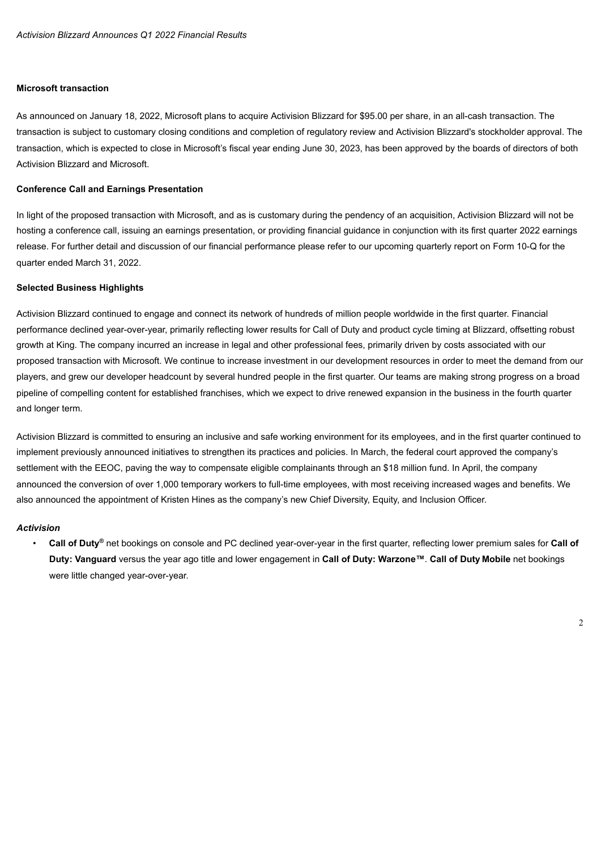## **Microsoft transaction**

As announced on January 18, 2022, Microsoft plans to acquire Activision Blizzard for \$95.00 per share, in an all-cash transaction. The transaction is subject to customary closing conditions and completion of regulatory review and Activision Blizzard's stockholder approval. The transaction, which is expected to close in Microsoft's fiscal year ending June 30, 2023, has been approved by the boards of directors of both Activision Blizzard and Microsoft.

## **Conference Call and Earnings Presentation**

In light of the proposed transaction with Microsoft, and as is customary during the pendency of an acquisition, Activision Blizzard will not be hosting a conference call, issuing an earnings presentation, or providing financial guidance in conjunction with its first quarter 2022 earnings release. For further detail and discussion of our financial performance please refer to our upcoming quarterly report on Form 10-Q for the quarter ended March 31, 2022.

#### **Selected Business Highlights**

Activision Blizzard continued to engage and connect its network of hundreds of million people worldwide in the first quarter. Financial performance declined year-over-year, primarily reflecting lower results for Call of Duty and product cycle timing at Blizzard, offsetting robust growth at King. The company incurred an increase in legal and other professional fees, primarily driven by costs associated with our proposed transaction with Microsoft. We continue to increase investment in our development resources in order to meet the demand from our players, and grew our developer headcount by several hundred people in the first quarter. Our teams are making strong progress on a broad pipeline of compelling content for established franchises, which we expect to drive renewed expansion in the business in the fourth quarter and longer term.

Activision Blizzard is committed to ensuring an inclusive and safe working environment for its employees, and in the first quarter continued to implement previously announced initiatives to strengthen its practices and policies. In March, the federal court approved the company's settlement with the EEOC, paving the way to compensate eligible complainants through an \$18 million fund. In April, the company announced the conversion of over 1,000 temporary workers to full-time employees, with most receiving increased wages and benefits. We also announced the appointment of Kristen Hines as the company's new Chief Diversity, Equity, and Inclusion Officer.

## *Activision*

• Call of Duty® net bookings on console and PC declined year-over-year in the first quarter, reflecting lower premium sales for Call of **Duty: Vanguard** versus the year ago title and lower engagement in **Call of Duty: Warzone™**. **Call of Duty Mobile** net bookings were little changed year-over-year.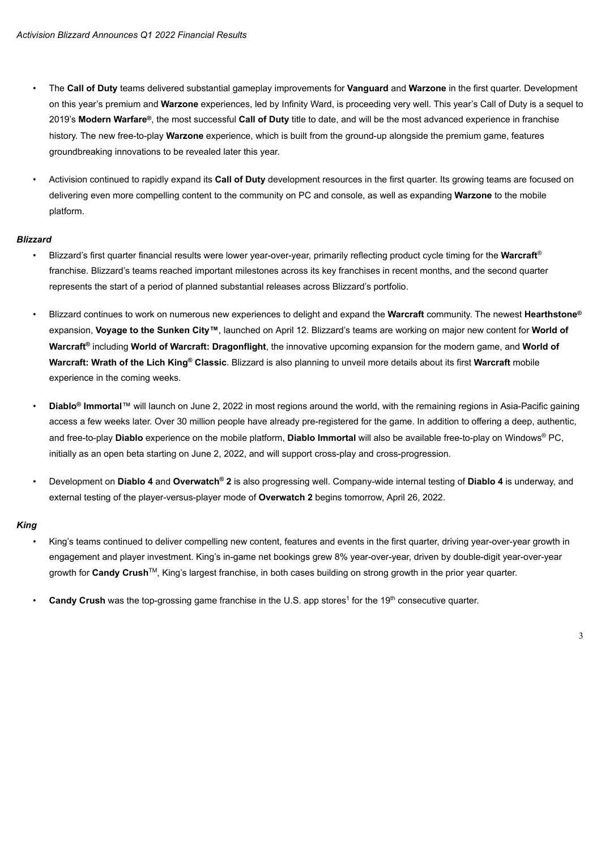- The **Call of Duty** teams delivered substantial gameplay improvements for **Vanguard** and **Warzone** in the first quarter. Development on this year's premium and **Warzone** experiences, led by Infinity Ward, is proceeding very well. This year's Call of Duty is a sequel to 2019's Modern Warfare®, the most successful Call of Duty title to date, and will be the most advanced experience in franchise history. The new free-to-play **Warzone** experience, which is built from the ground-up alongside the premium game, features groundbreaking innovations to be revealed later this year.
- Activision continued to rapidly expand its **Call of Duty** development resources in the first quarter. Its growing teams are focused on delivering even more compelling content to the community on PC and console, as well as expanding **Warzone** to the mobile platform.

## *Blizzard*

- Blizzard's first quarter financial results were lower year-over-year, primarily reflecting product cycle timing for the **Warcraft** ® franchise. Blizzard's teams reached important milestones across its key franchises in recent months, and the second quarter represents the start of a period of planned substantial releases across Blizzard's portfolio.
- Blizzard continues to work on numerous new experiences to delight and expand the **Warcraft** community. The newest **Hearthstone ®** expansion, **Voyage to the Sunken City™**, launched on April 12. Blizzard's teams are working on major new content for **World of**  $N$ arcraft® including World of Warcraft: Dragonflight, the innovative upcoming expansion for the modern game, and World of **Warcraft: Wrath of the Lich King® Classic**. Blizzard is also planning to unveil more details about its first **Warcraft** mobile experience in the coming weeks.
- **Diablo® Immortal**™ will launch on June 2, 2022 in most regions around the world, with the remaining regions in Asia-Pacific gaining access a few weeks later. Over 30 million people have already pre-registered for the game. In addition to offering a deep, authentic, and free-to-play Diablo experience on the mobile platform, Diablo Immortal will also be available free-to-play on Windows® PC, initially as an open beta starting on June 2, 2022, and will support cross-play and cross-progression.
- Development on Diablo 4 and Overwatch® 2 is also progressing well. Company-wide internal testing of Diablo 4 is underway, and external testing of the player-versus-player mode of **Overwatch 2** begins tomorrow, April 26, 2022.

## *King*

- King's teams continued to deliver compelling new content, features and events in the first quarter, driving year-over-year growth in engagement and player investment. King's in-game net bookings grew 8% year-over-year, driven by double-digit year-over-year growth for Candy Crush<sup>TM</sup>, King's largest franchise, in both cases building on strong growth in the prior year quarter.
- **Candy Crush** was the top-grossing game franchise in the U.S. app stores<sup>1</sup> for the 19<sup>th</sup> consecutive quarter.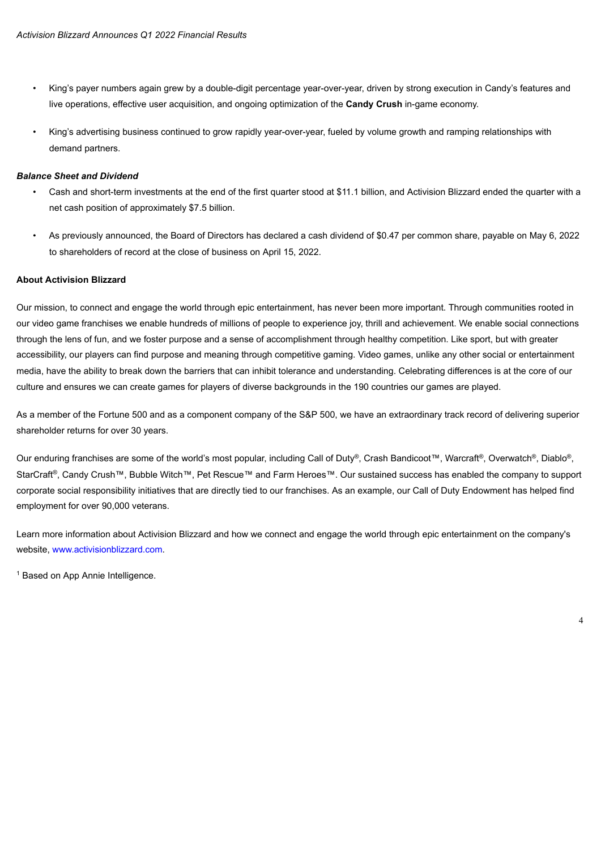- King's payer numbers again grew by a double-digit percentage year-over-year, driven by strong execution in Candy's features and live operations, effective user acquisition, and ongoing optimization of the **Candy Crush** in-game economy.
- King's advertising business continued to grow rapidly year-over-year, fueled by volume growth and ramping relationships with demand partners.

## *Balance Sheet and Dividend*

- Cash and short-term investments at the end of the first quarter stood at \$11.1 billion, and Activision Blizzard ended the quarter with a net cash position of approximately \$7.5 billion.
- As previously announced, the Board of Directors has declared a cash dividend of \$0.47 per common share, payable on May 6, 2022 to shareholders of record at the close of business on April 15, 2022.

## **About Activision Blizzard**

Our mission, to connect and engage the world through epic entertainment, has never been more important. Through communities rooted in our video game franchises we enable hundreds of millions of people to experience joy, thrill and achievement. We enable social connections through the lens of fun, and we foster purpose and a sense of accomplishment through healthy competition. Like sport, but with greater accessibility, our players can find purpose and meaning through competitive gaming. Video games, unlike any other social or entertainment media, have the ability to break down the barriers that can inhibit tolerance and understanding. Celebrating differences is at the core of our culture and ensures we can create games for players of diverse backgrounds in the 190 countries our games are played.

As a member of the Fortune 500 and as a component company of the S&P 500, we have an extraordinary track record of delivering superior shareholder returns for over 30 years.

Our enduring franchises are some of the world's most popular, including Call of Duty®, Crash Bandicoot™, Warcraft®, Overwatch®, Diablo®, StarCraft®, Candy Crush™, Bubble Witch™, Pet Rescue™ and Farm Heroes™. Our sustained success has enabled the company to support corporate social responsibility initiatives that are directly tied to our franchises. As an example, our Call of Duty Endowment has helped find employment for over 90,000 veterans.

Learn more information about Activision Blizzard and how we connect and engage the world through epic entertainment on the company's website, www.activisionblizzard.com.

<sup>1</sup> Based on App Annie Intelligence.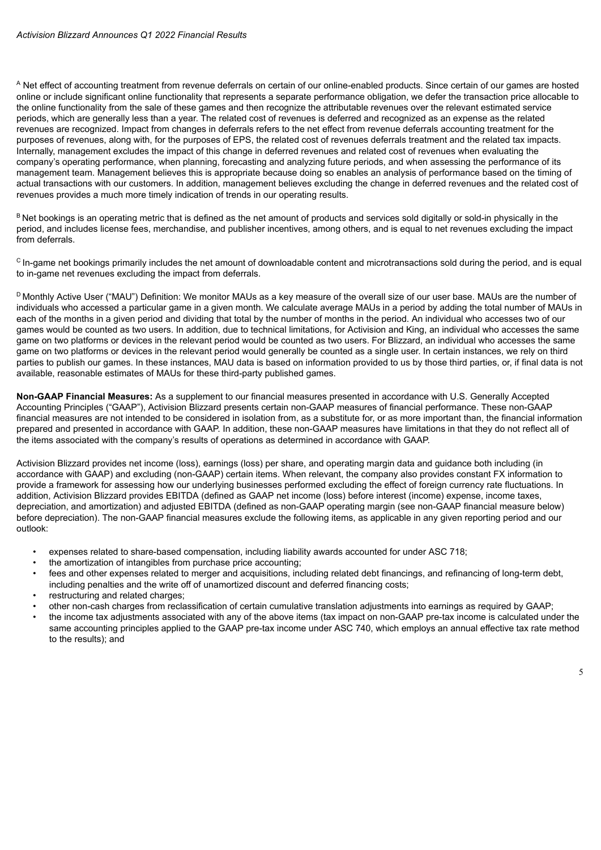<sup>A</sup> Net effect of accounting treatment from revenue deferrals on certain of our online-enabled products. Since certain of our games are hosted online or include significant online functionality that represents a separate performance obligation, we defer the transaction price allocable to the online functionality from the sale of these games and then recognize the attributable revenues over the relevant estimated service periods, which are generally less than a year. The related cost of revenues is deferred and recognized as an expense as the related revenues are recognized. Impact from changes in deferrals refers to the net effect from revenue deferrals accounting treatment for the purposes of revenues, along with, for the purposes of EPS, the related cost of revenues deferrals treatment and the related tax impacts. Internally, management excludes the impact of this change in deferred revenues and related cost of revenues when evaluating the company's operating performance, when planning, forecasting and analyzing future periods, and when assessing the performance of its management team. Management believes this is appropriate because doing so enables an analysis of performance based on the timing of actual transactions with our customers. In addition, management believes excluding the change in deferred revenues and the related cost of revenues provides a much more timely indication of trends in our operating results.

<sup>B</sup> Net bookings is an operating metric that is defined as the net amount of products and services sold digitally or sold-in physically in the period, and includes license fees, merchandise, and publisher incentives, among others, and is equal to net revenues excluding the impact from deferrals.

 $\circ$  In-game net bookings primarily includes the net amount of downloadable content and microtransactions sold during the period, and is equal to in-game net revenues excluding the impact from deferrals.

<sup>D</sup> Monthly Active User ("MAU") Definition: We monitor MAUs as a key measure of the overall size of our user base. MAUs are the number of individuals who accessed a particular game in a given month. We calculate average MAUs in a period by adding the total number of MAUs in each of the months in a given period and dividing that total by the number of months in the period. An individual who accesses two of our games would be counted as two users. In addition, due to technical limitations, for Activision and King, an individual who accesses the same game on two platforms or devices in the relevant period would be counted as two users. For Blizzard, an individual who accesses the same game on two platforms or devices in the relevant period would generally be counted as a single user. In certain instances, we rely on third parties to publish our games. In these instances, MAU data is based on information provided to us by those third parties, or, if final data is not available, reasonable estimates of MAUs for these third-party published games.

**Non-GAAP Financial Measures:** As a supplement to our financial measures presented in accordance with U.S. Generally Accepted Accounting Principles ("GAAP"), Activision Blizzard presents certain non-GAAP measures of financial performance. These non-GAAP financial measures are not intended to be considered in isolation from, as a substitute for, or as more important than, the financial information prepared and presented in accordance with GAAP. In addition, these non-GAAP measures have limitations in that they do not reflect all of the items associated with the company's results of operations as determined in accordance with GAAP.

Activision Blizzard provides net income (loss), earnings (loss) per share, and operating margin data and guidance both including (in accordance with GAAP) and excluding (non-GAAP) certain items. When relevant, the company also provides constant FX information to provide a framework for assessing how our underlying businesses performed excluding the effect of foreign currency rate fluctuations. In addition, Activision Blizzard provides EBITDA (defined as GAAP net income (loss) before interest (income) expense, income taxes, depreciation, and amortization) and adjusted EBITDA (defined as non-GAAP operating margin (see non-GAAP financial measure below) before depreciation). The non-GAAP financial measures exclude the following items, as applicable in any given reporting period and our outlook:

- expenses related to share-based compensation, including liability awards accounted for under ASC 718;
- the amortization of intangibles from purchase price accounting;
- fees and other expenses related to merger and acquisitions, including related debt financings, and refinancing of long-term debt, including penalties and the write off of unamortized discount and deferred financing costs;
- restructuring and related charges:
- other non-cash charges from reclassification of certain cumulative translation adjustments into earnings as required by GAAP;
- the income tax adjustments associated with any of the above items (tax impact on non-GAAP pre-tax income is calculated under the same accounting principles applied to the GAAP pre-tax income under ASC 740, which employs an annual effective tax rate method to the results); and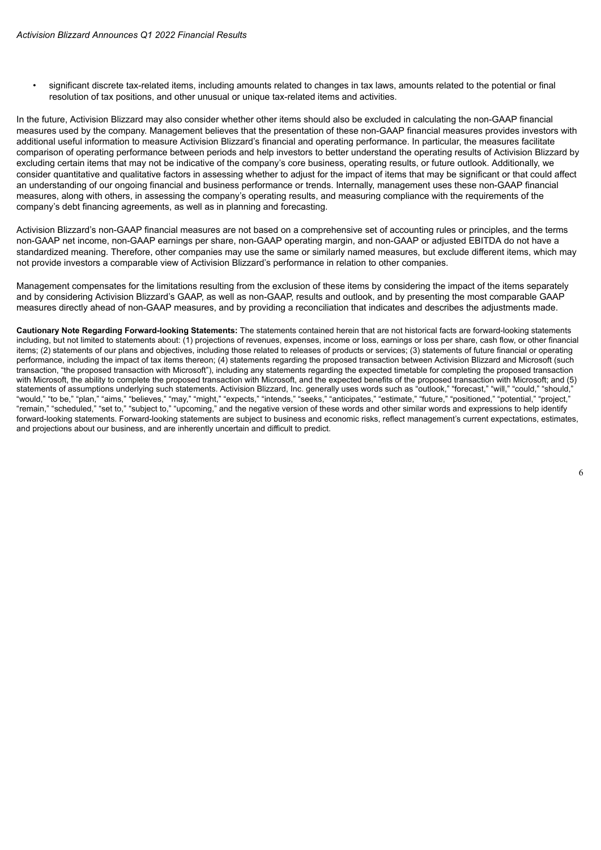• significant discrete tax-related items, including amounts related to changes in tax laws, amounts related to the potential or final resolution of tax positions, and other unusual or unique tax-related items and activities.

In the future, Activision Blizzard may also consider whether other items should also be excluded in calculating the non-GAAP financial measures used by the company. Management believes that the presentation of these non-GAAP financial measures provides investors with additional useful information to measure Activision Blizzard's financial and operating performance. In particular, the measures facilitate comparison of operating performance between periods and help investors to better understand the operating results of Activision Blizzard by excluding certain items that may not be indicative of the company's core business, operating results, or future outlook. Additionally, we consider quantitative and qualitative factors in assessing whether to adjust for the impact of items that may be significant or that could affect an understanding of our ongoing financial and business performance or trends. Internally, management uses these non-GAAP financial measures, along with others, in assessing the company's operating results, and measuring compliance with the requirements of the company's debt financing agreements, as well as in planning and forecasting.

Activision Blizzard's non-GAAP financial measures are not based on a comprehensive set of accounting rules or principles, and the terms non-GAAP net income, non-GAAP earnings per share, non-GAAP operating margin, and non-GAAP or adjusted EBITDA do not have a standardized meaning. Therefore, other companies may use the same or similarly named measures, but exclude different items, which may not provide investors a comparable view of Activision Blizzard's performance in relation to other companies.

Management compensates for the limitations resulting from the exclusion of these items by considering the impact of the items separately and by considering Activision Blizzard's GAAP, as well as non-GAAP, results and outlook, and by presenting the most comparable GAAP measures directly ahead of non-GAAP measures, and by providing a reconciliation that indicates and describes the adjustments made.

**Cautionary Note Regarding Forward-looking Statements:** The statements contained herein that are not historical facts are forward-looking statements including, but not limited to statements about: (1) projections of revenues, expenses, income or loss, earnings or loss per share, cash flow, or other financial items; (2) statements of our plans and objectives, including those related to releases of products or services; (3) statements of future financial or operating performance, including the impact of tax items thereon; (4) statements regarding the proposed transaction between Activision Blizzard and Microsoft (such transaction, "the proposed transaction with Microsoft"), including any statements regarding the expected timetable for completing the proposed transaction with Microsoft, the ability to complete the proposed transaction with Microsoft, and the expected benefits of the proposed transaction with Microsoft; and (5) statements of assumptions underlying such statements. Activision Blizzard, Inc. generally uses words such as "outlook," "forecast," "will," "could," "should," "would," "to be," "plan," "aims," "believes," "may," "might," "expects," "intends," "seeks," "anticipates," "estimate," "future," "positioned," "potential," "project," "remain," "scheduled," "set to," "subject to," "upcoming," and the negative version of these words and other similar words and expressions to help identify forward-looking statements. Forward-looking statements are subject to business and economic risks, reflect management's current expectations, estimates, and projections about our business, and are inherently uncertain and difficult to predict.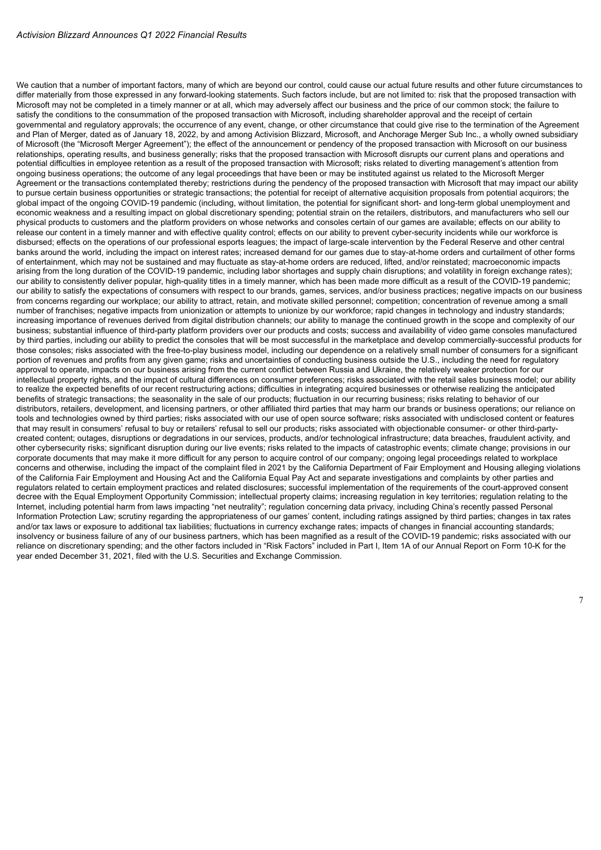#### *Activision Blizzard Announces Q1 2022 Financial Results*

We caution that a number of important factors, many of which are beyond our control, could cause our actual future results and other future circumstances to differ materially from those expressed in any forward-looking statements. Such factors include, but are not limited to: risk that the proposed transaction with Microsoft may not be completed in a timely manner or at all, which may adversely affect our business and the price of our common stock; the failure to satisfy the conditions to the consummation of the proposed transaction with Microsoft, including shareholder approval and the receipt of certain governmental and regulatory approvals; the occurrence of any event, change, or other circumstance that could give rise to the termination of the Agreement and Plan of Merger, dated as of January 18, 2022, by and among Activision Blizzard, Microsoft, and Anchorage Merger Sub Inc., a wholly owned subsidiary of Microsoft (the "Microsoft Merger Agreement"); the effect of the announcement or pendency of the proposed transaction with Microsoft on our business relationships, operating results, and business generally; risks that the proposed transaction with Microsoft disrupts our current plans and operations and potential difficulties in employee retention as a result of the proposed transaction with Microsoft; risks related to diverting management's attention from ongoing business operations; the outcome of any legal proceedings that have been or may be instituted against us related to the Microsoft Merger Agreement or the transactions contemplated thereby; restrictions during the pendency of the proposed transaction with Microsoft that may impact our ability to pursue certain business opportunities or strategic transactions; the potential for receipt of alternative acquisition proposals from potential acquirors; the global impact of the ongoing COVID-19 pandemic (including, without limitation, the potential for significant short- and long-term global unemployment and economic weakness and a resulting impact on global discretionary spending; potential strain on the retailers, distributors, and manufacturers who sell our physical products to customers and the platform providers on whose networks and consoles certain of our games are available; effects on our ability to release our content in a timely manner and with effective quality control; effects on our ability to prevent cyber-security incidents while our workforce is disbursed; effects on the operations of our professional esports leagues; the impact of large-scale intervention by the Federal Reserve and other central banks around the world, including the impact on interest rates; increased demand for our games due to stay-at-home orders and curtailment of other forms of entertainment, which may not be sustained and may fluctuate as stay-at-home orders are reduced, lifted, and/or reinstated; macroeconomic impacts arising from the long duration of the COVID-19 pandemic, including labor shortages and supply chain disruptions; and volatility in foreign exchange rates); our ability to consistently deliver popular, high-quality titles in a timely manner, which has been made more difficult as a result of the COVID-19 pandemic; our ability to satisfy the expectations of consumers with respect to our brands, games, services, and/or business practices; negative impacts on our business from concerns regarding our workplace; our ability to attract, retain, and motivate skilled personnel; competition; concentration of revenue among a small number of franchises; negative impacts from unionization or attempts to unionize by our workforce; rapid changes in technology and industry standards; increasing importance of revenues derived from digital distribution channels; our ability to manage the continued growth in the scope and complexity of our business; substantial influence of third-party platform providers over our products and costs; success and availability of video game consoles manufactured by third parties, including our ability to predict the consoles that will be most successful in the marketplace and develop commercially-successful products for those consoles; risks associated with the free-to-play business model, including our dependence on a relatively small number of consumers for a significant portion of revenues and profits from any given game; risks and uncertainties of conducting business outside the U.S., including the need for regulatory approval to operate, impacts on our business arising from the current conflict between Russia and Ukraine, the relatively weaker protection for our intellectual property rights, and the impact of cultural differences on consumer preferences; risks associated with the retail sales business model; our ability to realize the expected benefits of our recent restructuring actions; difficulties in integrating acquired businesses or otherwise realizing the anticipated benefits of strategic transactions; the seasonality in the sale of our products; fluctuation in our recurring business; risks relating to behavior of our distributors, retailers, development, and licensing partners, or other affiliated third parties that may harm our brands or business operations; our reliance on tools and technologies owned by third parties; risks associated with our use of open source software; risks associated with undisclosed content or features that may result in consumers' refusal to buy or retailers' refusal to sell our products; risks associated with objectionable consumer- or other third-partycreated content; outages, disruptions or degradations in our services, products, and/or technological infrastructure; data breaches, fraudulent activity, and other cybersecurity risks; significant disruption during our live events; risks related to the impacts of catastrophic events; climate change; provisions in our corporate documents that may make it more difficult for any person to acquire control of our company; ongoing legal proceedings related to workplace concerns and otherwise, including the impact of the complaint filed in 2021 by the California Department of Fair Employment and Housing alleging violations of the California Fair Employment and Housing Act and the California Equal Pay Act and separate investigations and complaints by other parties and regulators related to certain employment practices and related disclosures; successful implementation of the requirements of the court-approved consent decree with the Equal Employment Opportunity Commission; intellectual property claims; increasing regulation in key territories; regulation relating to the Internet, including potential harm from laws impacting "net neutrality"; regulation concerning data privacy, including China's recently passed Personal Information Protection Law; scrutiny regarding the appropriateness of our games' content, including ratings assigned by third parties; changes in tax rates and/or tax laws or exposure to additional tax liabilities; fluctuations in currency exchange rates; impacts of changes in financial accounting standards; insolvency or business failure of any of our business partners, which has been magnified as a result of the COVID-19 pandemic; risks associated with our reliance on discretionary spending; and the other factors included in "Risk Factors" included in Part I, Item 1A of our Annual Report on Form 10-K for the year ended December 31, 2021, filed with the U.S. Securities and Exchange Commission.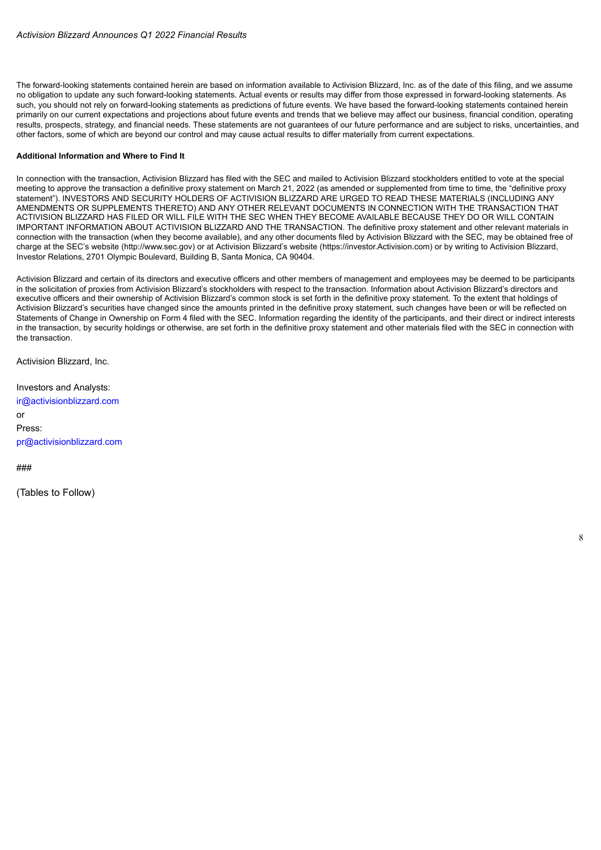The forward-looking statements contained herein are based on information available to Activision Blizzard, Inc. as of the date of this filing, and we assume no obligation to update any such forward-looking statements. Actual events or results may differ from those expressed in forward-looking statements. As such, you should not rely on forward-looking statements as predictions of future events. We have based the forward-looking statements contained herein primarily on our current expectations and projections about future events and trends that we believe may affect our business, financial condition, operating results, prospects, strategy, and financial needs. These statements are not guarantees of our future performance and are subject to risks, uncertainties, and other factors, some of which are beyond our control and may cause actual results to differ materially from current expectations.

#### **Additional Information and Where to Find It**

In connection with the transaction, Activision Blizzard has filed with the SEC and mailed to Activision Blizzard stockholders entitled to vote at the special meeting to approve the transaction a definitive proxy statement on March 21, 2022 (as amended or supplemented from time to time, the "definitive proxy statement"). INVESTORS AND SECURITY HOLDERS OF ACTIVISION BLIZZARD ARE URGED TO READ THESE MATERIALS (INCLUDING ANY AMENDMENTS OR SUPPLEMENTS THERETO) AND ANY OTHER RELEVANT DOCUMENTS IN CONNECTION WITH THE TRANSACTION THAT ACTIVISION BLIZZARD HAS FILED OR WILL FILE WITH THE SEC WHEN THEY BECOME AVAILABLE BECAUSE THEY DO OR WILL CONTAIN IMPORTANT INFORMATION ABOUT ACTIVISION BLIZZARD AND THE TRANSACTION. The definitive proxy statement and other relevant materials in connection with the transaction (when they become available), and any other documents filed by Activision Blizzard with the SEC, may be obtained free of charge at the SEC's website (http://www.sec.gov) or at Activision Blizzard's website (https://investor.Activision.com) or by writing to Activision Blizzard, Investor Relations, 2701 Olympic Boulevard, Building B, Santa Monica, CA 90404.

Activision Blizzard and certain of its directors and executive officers and other members of management and employees may be deemed to be participants in the solicitation of proxies from Activision Blizzard's stockholders with respect to the transaction. Information about Activision Blizzard's directors and executive officers and their ownership of Activision Blizzard's common stock is set forth in the definitive proxy statement. To the extent that holdings of Activision Blizzard's securities have changed since the amounts printed in the definitive proxy statement, such changes have been or will be reflected on Statements of Change in Ownership on Form 4 filed with the SEC. Information regarding the identity of the participants, and their direct or indirect interests in the transaction, by security holdings or otherwise, are set forth in the definitive proxy statement and other materials filed with the SEC in connection with the transaction.

Activision Blizzard, Inc.

Investors and Analysts: ir@activisionblizzard.com or Press: pr@activisionblizzard.com

###

(Tables to Follow)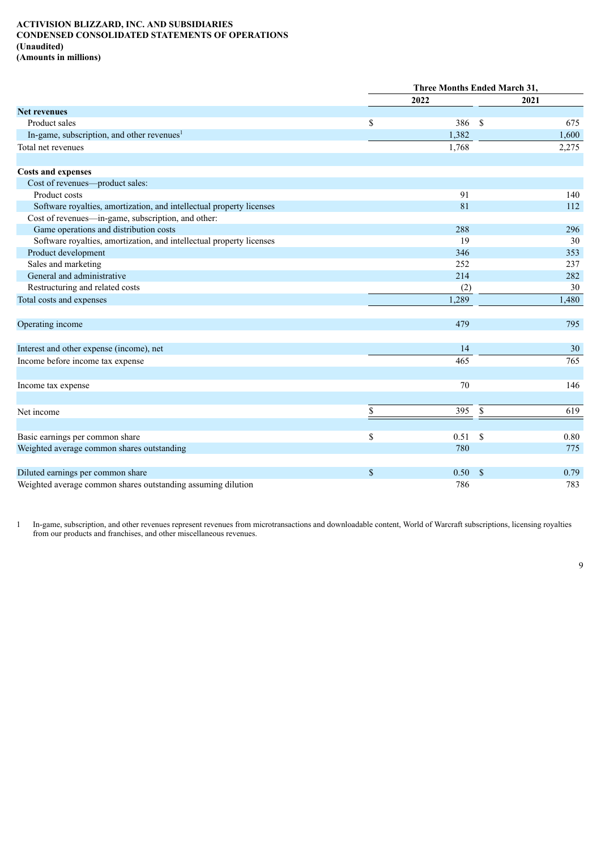## **ACTIVISION BLIZZARD, INC. AND SUBSIDIARIES CONDENSED CONSOLIDATED STATEMENTS OF OPERATIONS (Unaudited) (Amounts in millions)**

|                                                                      | Three Months Ended March 31, |       |              |       |  |  |  |  |
|----------------------------------------------------------------------|------------------------------|-------|--------------|-------|--|--|--|--|
|                                                                      |                              | 2022  |              | 2021  |  |  |  |  |
| <b>Net revenues</b>                                                  |                              |       |              |       |  |  |  |  |
| Product sales                                                        | \$                           | 386   | \$           | 675   |  |  |  |  |
| In-game, subscription, and other revenues <sup>1</sup>               |                              | 1,382 |              | 1,600 |  |  |  |  |
| Total net revenues                                                   |                              | 1,768 |              | 2,275 |  |  |  |  |
|                                                                      |                              |       |              |       |  |  |  |  |
| <b>Costs and expenses</b>                                            |                              |       |              |       |  |  |  |  |
| Cost of revenues-product sales:                                      |                              |       |              |       |  |  |  |  |
| Product costs                                                        |                              | 91    |              | 140   |  |  |  |  |
| Software royalties, amortization, and intellectual property licenses |                              | 81    |              | 112   |  |  |  |  |
| Cost of revenues—in-game, subscription, and other:                   |                              |       |              |       |  |  |  |  |
| Game operations and distribution costs                               |                              | 288   |              | 296   |  |  |  |  |
| Software royalties, amortization, and intellectual property licenses |                              | 19    |              | 30    |  |  |  |  |
| Product development                                                  |                              | 346   |              | 353   |  |  |  |  |
| Sales and marketing                                                  |                              | 252   |              | 237   |  |  |  |  |
| General and administrative                                           |                              | 214   |              | 282   |  |  |  |  |
| Restructuring and related costs                                      |                              | (2)   |              | 30    |  |  |  |  |
| Total costs and expenses                                             |                              | 1,289 |              | 1,480 |  |  |  |  |
|                                                                      |                              |       |              |       |  |  |  |  |
| Operating income                                                     |                              | 479   |              | 795   |  |  |  |  |
|                                                                      |                              |       |              |       |  |  |  |  |
| Interest and other expense (income), net                             |                              | 14    |              | 30    |  |  |  |  |
| Income before income tax expense                                     |                              | 465   |              | 765   |  |  |  |  |
|                                                                      |                              |       |              |       |  |  |  |  |
| Income tax expense                                                   |                              | 70    |              | 146   |  |  |  |  |
|                                                                      |                              |       |              |       |  |  |  |  |
| Net income                                                           | \$                           | 395   | \$           | 619   |  |  |  |  |
|                                                                      |                              |       |              |       |  |  |  |  |
| Basic earnings per common share                                      | \$                           | 0.51  | \$           | 0.80  |  |  |  |  |
| Weighted average common shares outstanding                           |                              | 780   |              | 775   |  |  |  |  |
| Diluted earnings per common share                                    | \$                           | 0.50  | <sup>S</sup> | 0.79  |  |  |  |  |
| Weighted average common shares outstanding assuming dilution         |                              | 786   |              | 783   |  |  |  |  |

1 In-game, subscription, and other revenues represent revenues from microtransactions and downloadable content, World of Warcraft subscriptions, licensing royalties from our products and franchises, and other miscellaneous revenues.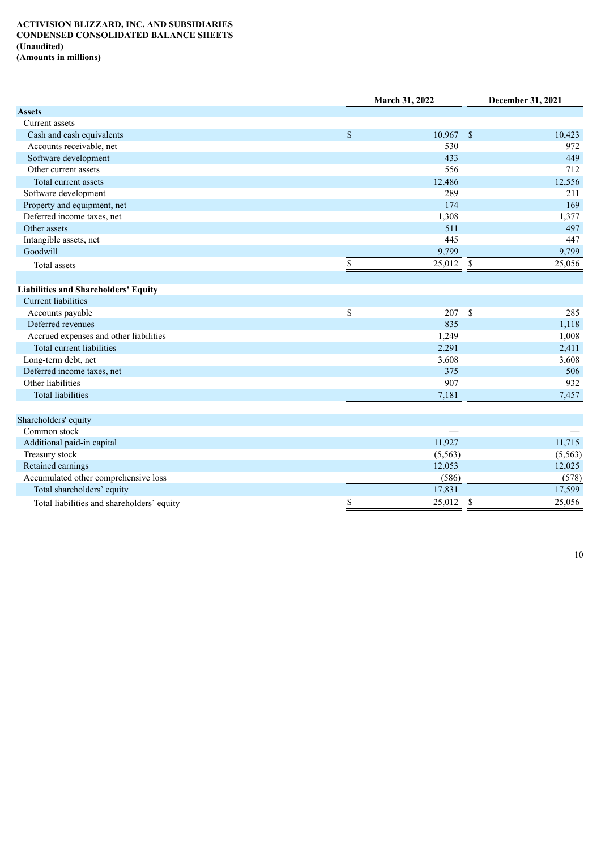## **ACTIVISION BLIZZARD, INC. AND SUBSIDIARIES CONDENSED CONSOLIDATED BALANCE SHEETS (Unaudited) (Amounts in millions)**

|                                                                           |             | March 31, 2022 |                    |                   |  |
|---------------------------------------------------------------------------|-------------|----------------|--------------------|-------------------|--|
| <b>Assets</b>                                                             |             |                |                    | December 31, 2021 |  |
| Current assets                                                            |             |                |                    |                   |  |
| Cash and cash equivalents                                                 | $\mathbf S$ | 10,967         | $\mathbf{\hat{s}}$ | 10,423            |  |
| Accounts receivable, net                                                  |             | 530            |                    | 972               |  |
| Software development                                                      |             | 433            |                    | 449               |  |
| Other current assets                                                      |             | 556            |                    | 712               |  |
| Total current assets                                                      |             | 12,486         |                    | 12,556            |  |
| Software development                                                      |             | 289            |                    | 211               |  |
| Property and equipment, net                                               |             | 174            |                    | 169               |  |
| Deferred income taxes, net                                                |             | 1,308          |                    | 1,377             |  |
| Other assets                                                              |             | 511            |                    | 497               |  |
| Intangible assets, net                                                    |             | 445            |                    | 447               |  |
| Goodwill                                                                  |             | 9,799          |                    | 9,799             |  |
| Total assets                                                              | \$          | 25,012         | $\mathbb{S}$       | 25,056            |  |
|                                                                           |             |                |                    |                   |  |
| <b>Liabilities and Shareholders' Equity</b><br><b>Current liabilities</b> |             |                |                    |                   |  |
| Accounts payable                                                          | \$          | 207            | <sup>\$</sup>      | 285               |  |
| Deferred revenues                                                         |             | 835            |                    | 1,118             |  |
| Accrued expenses and other liabilities                                    |             | 1,249          |                    | 1,008             |  |
| Total current liabilities                                                 |             | 2,291          |                    | 2,411             |  |
| Long-term debt, net                                                       |             | 3,608          |                    | 3,608             |  |
| Deferred income taxes, net                                                |             | 375            |                    | 506               |  |
| Other liabilities                                                         |             | 907            |                    | 932               |  |
| <b>Total liabilities</b>                                                  |             | 7,181          |                    | 7,457             |  |
|                                                                           |             |                |                    |                   |  |
| Shareholders' equity                                                      |             |                |                    |                   |  |
| Common stock                                                              |             |                |                    |                   |  |
| Additional paid-in capital                                                |             | 11,927         |                    | 11,715            |  |
| Treasury stock                                                            |             | (5, 563)       |                    | (5, 563)          |  |
| Retained earnings                                                         |             | 12,053         |                    | 12,025            |  |
| Accumulated other comprehensive loss                                      |             | (586)          |                    | (578)             |  |
| Total shareholders' equity                                                |             | 17,831         |                    | 17,599            |  |
| Total liabilities and shareholders' equity                                | \$          | 25,012         | \$                 | 25,056            |  |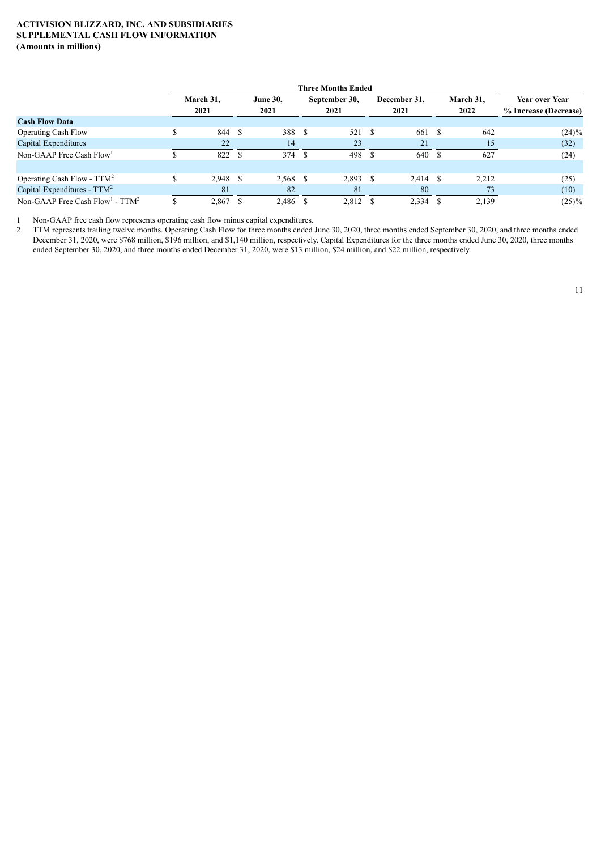## **ACTIVISION BLIZZARD, INC. AND SUBSIDIARIES SUPPLEMENTAL CASH FLOW INFORMATION (Amounts in millions)**

|                                               |  | March 31,<br>2021 |      | <b>June 30,</b><br>2021 |  | September 30,<br>2021 |     | December 31, |     | March 31, | <b>Year over Year</b> |
|-----------------------------------------------|--|-------------------|------|-------------------------|--|-----------------------|-----|--------------|-----|-----------|-----------------------|
|                                               |  |                   |      |                         |  |                       |     | 2021         |     | 2022      | % Increase (Decrease) |
| <b>Cash Flow Data</b>                         |  |                   |      |                         |  |                       |     |              |     |           |                       |
| <b>Operating Cash Flow</b>                    |  | 844               | - \$ | 388 \$                  |  | 521                   | s s | 661          | - S | 642       | $(24)\%$              |
| Capital Expenditures                          |  | 22                |      | 14                      |  | 23                    |     | 21           |     | 15        | (32)                  |
| Non-GAAP Free Cash Flow <sup>1</sup>          |  | 822               | - S  | 374 \$                  |  | 498 \$                |     | 640          | - S | 627       | (24)                  |
|                                               |  |                   |      |                         |  |                       |     |              |     |           |                       |
| Operating Cash Flow - $TTM2$                  |  | 2,948             | - \$ | 2,568 \$                |  | $2,893$ \$            |     | $2,414$ \$   |     | 2,212     | (25)                  |
| Capital Expenditures - $TTM2$                 |  | 81                |      | 82                      |  | 81                    |     | 80           |     | 73        | (10)                  |
| Non-GAAP Free Cash $Flow1$ - TTM <sup>2</sup> |  | 2,867             |      | 2.486                   |  | 2,812 \$              |     | 2,334        |     | 2,139     | $(25)\%$              |

1 Non-GAAP free cash flow represents operating cash flow minus capital expenditures.<br>2 TTM represents trailing twelve months. Operating Cash Flow for three months ended

TTM represents trailing twelve months. Operating Cash Flow for three months ended June 30, 2020, three months ended September 30, 2020, and three months ended December 31, 2020, were \$768 million, \$196 million, and \$1,140 million, respectively. Capital Expenditures for the three months ended June 30, 2020, three months ended September 30, 2020, and three months ended December 31, 2020, were \$13 million, \$24 million, and \$22 million, respectively.

11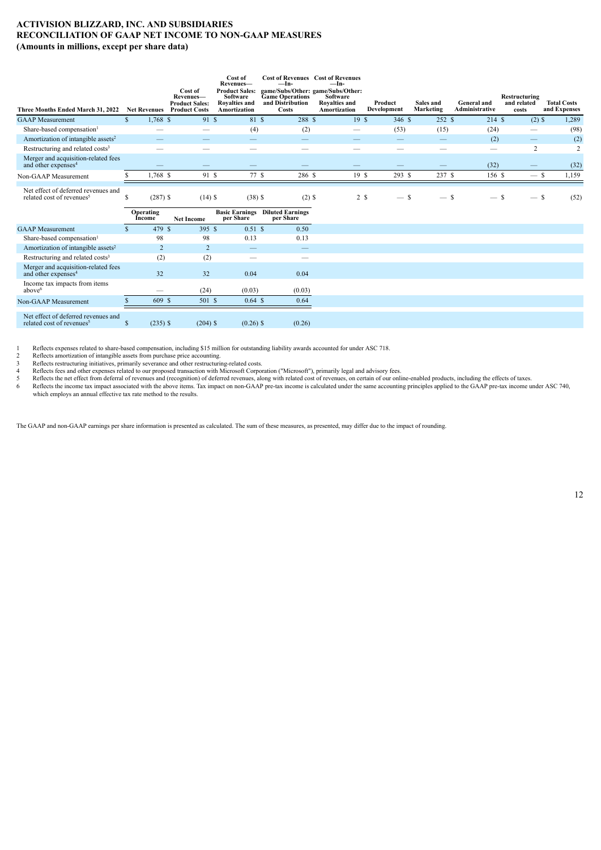## **ACTIVISION BLIZZARD, INC. AND SUBSIDIARIES RECONCILIATION OF GAAP NET INCOME TO NON-GAAP MEASURES (Amounts in millions, except per share data)**

**Three Months Ended March 31, 2022 Net Revenues Cost of Revenues— Product Sales: Product Costs Cost of Revenues— Product Sales: Software Royalties and Amortization Cost of Revenues —In-Cost of Revenues —Ingame/Subs/Other: Game Operations and Distribution Costs game/Subs/Other: Software Royalties and Royalties and<br>Amortization Product Development Sales and Marketing General and Administrative Restructuring and related costs Total Costs and Expenses** GAAP Measurement \$ 1,768 \$ 91 \$ 81 \$ 288 \$ 19 \$ 346 \$ 252 \$ 214 \$ (2) \$ 1,289 Share-based compensation<sup>1</sup>  $(4)$   $(2)$   $(53)$   $(15)$   $(24)$   $(98)$ Amortization of intangible assets<sup>2</sup>  $(2)$   $(2)$ Restructuring and related costs<sup>3</sup>  $\qquad \qquad \qquad \qquad \qquad \qquad \qquad \qquad \qquad \qquad \qquad \qquad \qquad \qquad \qquad \qquad \qquad \qquad 2$ Merger and acquisition-related fees and other expenses — — — — — — — (32) — (32) Non-GAAP Measurement  $\overline{S}$  1,768 \$ 91 \$ 77 \$ 286 \$ 19 \$ 293 \$ 237 \$ 156 \$  $\overline{S}$  1,159 Net effect of deferred revenues and related cost of revenues<sup>5</sup> 5 (287) \$ (14) \$ (38) \$ (2) \$ 2 \$ — \$ — \$ — \$ (52) **Operating Income Net Income Basic Earnings per Share Diluted Earnings per Share** GAAP Measurement  $\overline{\$}$  479 \$ 395 \$ 0.51 \$ 0.50 Share-based compensation<sup>1</sup> 98 98 0.13 0.13 0.13 Amortization of intangible assets<sup>2</sup>  $2 \qquad 2 \qquad -$ Restructuring and related costs<sup>3</sup> (2)  $(2)$  —  $(3)$ Merger and acquisition-related fees and other expenses<sup>4</sup> 32 32 0.04 0.04 Income tax impacts from items  $\alpha$ above<sup>6</sup> — (24) (0.03) (0.03) Non-GAAP Measurement  $\overline{\$}$  609 \$ 501 \$ 0.64 \$ 0.64 Net effect of deferred revenues and<br>related cost of revenues<sup>5</sup> \$ (235) \$ (204) \$ (0.26) \$ (0.26) and other expenses above<sup> $6$ </sup>

1 Reflects expenses related to share-based compensation, including \$15 million for outstanding liability awards accounted for under ASC 718.

2 Reflects amortization of intangible assets from purchase price accounting.<br>Reflects restructuring initiatives primarily severance and other restructuring

3 Reflects restructuring initiatives, primarily severance and other restructuring-related costs<br>Reflects fees and other expenses related to our proposed transaction with Microsoft Corpo

Fraction with Microsoft Corporation ("Microsoft"), primarily legal and advisory fees.<br>Reflects fees and other expenses related to our proposed transaction with Microsoft Corporation ("Microsoft"), primarily legal and advis

Reflects the net effect from deferral of revenues and (recognition) of deferred revenues, along with related cost of revenues, on certain of our online-enabled products, including the effects of taxes.

6 Reflects the income tax impact associated with the above items. Tax impact on non-GAAP pre-tax income is calculated under the same accounting principles applied to the GAAP pre-tax income under ASC 740, which employs an

The GAAP and non-GAAP earnings per share information is presented as calculated. The sum of these measures, as presented, may differ due to the impact of rounding.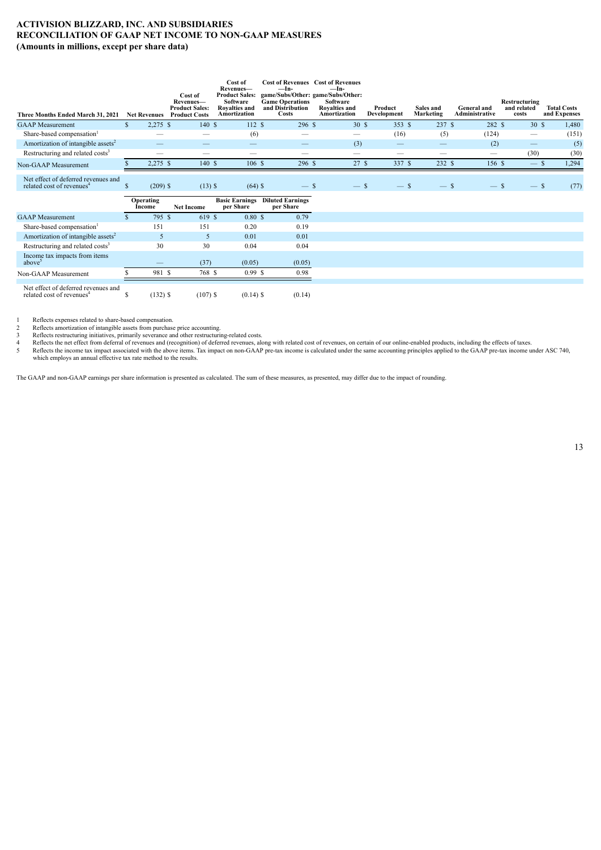## **ACTIVISION BLIZZARD, INC. AND SUBSIDIARIES RECONCILIATION OF GAAP NET INCOME TO NON-GAAP MEASURES (Amounts in millions, except per share data)**

**Three Months Ended March 31, 2021 Net Revenues Cost of Revenues— Product Sales: Product Costs Cost of Revenues— Product Sales: Software Royalties and Amortization Cost of Revenues Cost of Revenues**<br>
—In-<br> **game/Subs/Other: game/Subs/Other: Game Operations and Distribution Costs Software Royalties and Amortization Product Development Sales and Marketing General and Administrative Restructuring and related costs Total Costs and Expenses** GAAP Measurement \$ 2,275 \$ 140 \$ 112 \$ 296 \$ 30 \$ 353 \$ 237 \$ 282 \$ 30 \$ 1,480 Share-based compensation<sup>1</sup>  $\qquad \qquad \qquad \qquad$   $\qquad \qquad$   $\qquad \qquad$   $\qquad \qquad$   $\qquad \qquad$   $\qquad \qquad$   $\qquad \qquad$   $\qquad \qquad$   $\qquad \qquad$   $\qquad \qquad$   $\qquad \qquad$   $\qquad \qquad$   $\qquad \qquad$   $\qquad \qquad$   $\qquad \qquad$   $\qquad \qquad$   $\qquad \qquad$   $\qquad \qquad$   $\qquad \qquad$   $\qquad \qquad$   $\q$ Amortization of intangible assets<sup>2</sup>  $(3)$   $(2)$   $(5)$ Restructuring and related costs<sup>3</sup>  $\qquad \qquad \qquad \qquad \qquad \qquad \qquad \qquad \qquad$   $\qquad$   $\qquad$   $\qquad$   $\qquad$   $\qquad$   $\qquad$   $\qquad$   $\qquad$   $\qquad$   $\qquad$   $\qquad$   $\qquad$   $\qquad$   $\qquad$   $\qquad$   $\qquad$   $\qquad$   $\qquad$   $\qquad$   $\qquad$   $\qquad$ Non-GAAP Measurement  $\overline{S}$  2,275 \$ 140 \$ 106 \$ 296 \$ 27 \$ 337 \$ 232 \$ 156 \$  $\overline{S}$  5 1,294 Net effect of deferred revenues and<br>related east of revenues<sup>4</sup> related cost of revenues<sup>4</sup> 5 (209) \$ (13) \$ (64) \$ — \$ — \$ — \$ — \$ (77) **Operating Income Net Income Basic Earnings per Share Diluted Earnings per Share** GAAP Measurement  $\overline{\text{S}}$  795 \$ 619 \$ 0.80 \$ 0.79<br>Share-based compensation<sup>1</sup> 151 151 0.20 0.19 Share-based compensation<sup>1</sup>  $151$   $151$   $0.20$   $0.19$ Amortization of intangible assets<sup>2</sup>  $\qquad 5 \qquad \qquad 5 \qquad \qquad 0.01 \qquad \qquad 0.01$ Restructuring and related  $\cos^3$  30 30 0.04 0.04 0.04 Share-based compensation

| Net effect of deferred revenues and   |  |       |        |  |
|---------------------------------------|--|-------|--------|--|
| related cost of revenues <sup>4</sup> |  | .107) | (0.14) |  |

above<sup>5</sup> — (37) (0.05) (0.05) (0.05) Non-GAAP Measurement  $\overline{\text{S}}$  981 \$ 768 \$ 0.99 \$ 0.98

1 Reflects expenses related to share-based compensation.

Income tax impacts from items<br>above<sup>5</sup>

5

2 Reflects amortization of intangible assets from purchase price accounting.<br>Reflects restructuring initiatives primarily severance and other restructuring.

3 Reflects restructuring initiatives, primarily severance and other restructuring-related costs.<br>4 Reflects the net effect from deferral of revenues and (recognition) of deferred revenues, along with related cost of revenu

Reflects the income tax impact associated with the above items. Tax impact on non-GAAP pre-tax income is calculated under the same accounting principles applied to the GAAP pre-tax income under ASC 740, which employs an annual effective tax rate method to the results.

The GAAP and non-GAAP earnings per share information is presented as calculated. The sum of these measures, as presented, may differ due to the impact of rounding.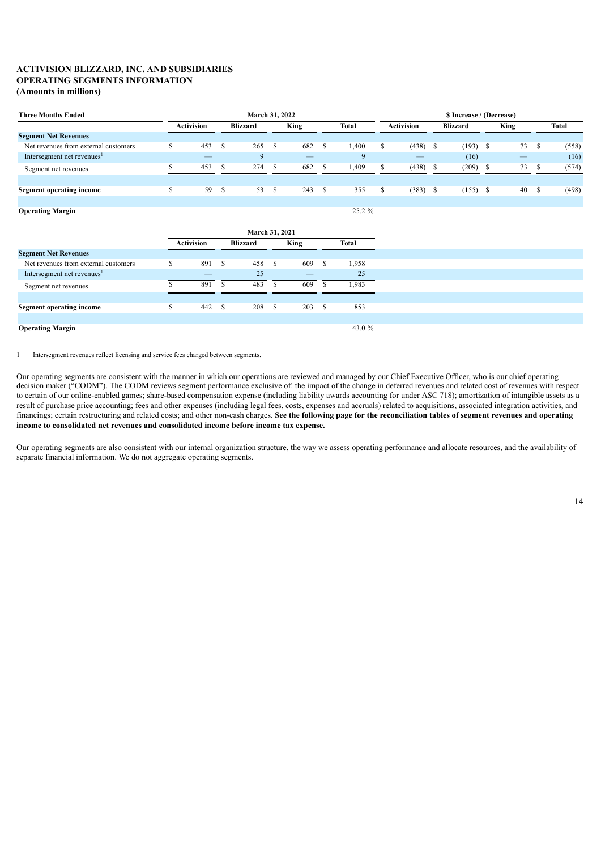## **ACTIVISION BLIZZARD, INC. AND SUBSIDIARIES OPERATING SEGMENTS INFORMATION (Amounts in millions)**

| <b>Three Months Ended</b>              |   | March 31, 2022    |   |                 |               |      |     |              |               | \$ Increase / (Decrease) |      |                 |      |    |  |       |
|----------------------------------------|---|-------------------|---|-----------------|---------------|------|-----|--------------|---------------|--------------------------|------|-----------------|------|----|--|-------|
|                                        |   | <b>Activision</b> |   | <b>Blizzard</b> |               | King |     | Total        |               | <b>Activision</b>        |      | <b>Blizzard</b> | King |    |  | Total |
| <b>Segment Net Revenues</b>            |   |                   |   |                 |               |      |     |              |               |                          |      |                 |      |    |  |       |
| Net revenues from external customers   |   | 453               |   | 265             | <sup>\$</sup> | 682  |     | .400         | S             | (438)                    | - S  | (193)           | -S   | 73 |  | (558) |
| Intersegment net revenues <sup>1</sup> |   | __                |   | q               |               |      |     | $\mathbf{Q}$ |               |                          |      | (16)            |      | __ |  | (16)  |
| Segment net revenues                   |   | 453               |   | 274             |               | 682  |     | 1.409        |               | (438)                    |      | (209)           |      | 73 |  | (574) |
|                                        |   |                   |   |                 |               |      |     |              |               |                          |      |                 |      |    |  |       |
| <b>Segment operating income</b>        | S | 59                | S | 53              | \$            | 243  | - S | 355          | <sup>\$</sup> | (383)                    | - \$ | $(155)$ \$      |      | 40 |  | (498) |
|                                        |   |                   |   |                 |               |      |     |              |               |                          |      |                 |      |    |  |       |
| <b>Operating Margin</b>                |   |                   |   |                 |               |      |     | 25.2 %       |               |                          |      |                 |      |    |  |       |

|                                        |                   | March 31, 2021 |                 |        |      |      |      |        |  |  |
|----------------------------------------|-------------------|----------------|-----------------|--------|------|------|------|--------|--|--|
|                                        | <b>Activision</b> |                | <b>Blizzard</b> |        |      | King |      | Total  |  |  |
| <b>Segment Net Revenues</b>            |                   |                |                 |        |      |      |      |        |  |  |
| Net revenues from external customers   | \$                | 891            | -S              | 458 \$ |      | 609  | - \$ | 1,958  |  |  |
| Intersegment net revenues <sup>1</sup> |                   |                |                 | 25     |      |      |      | 25     |  |  |
| Segment net revenues                   |                   | 891            |                 | 483    |      | 609  |      | 1,983  |  |  |
|                                        |                   |                |                 |        |      |      |      |        |  |  |
| <b>Segment operating income</b>        | \$                | 442            | S               | 208    | - \$ | 203  | - S  | 853    |  |  |
|                                        |                   |                |                 |        |      |      |      |        |  |  |
| <b>Operating Margin</b>                |                   |                |                 |        |      |      |      | 43.0 % |  |  |

1 Intersegment revenues reflect licensing and service fees charged between segments.

Our operating segments are consistent with the manner in which our operations are reviewed and managed by our Chief Executive Officer, who is our chief operating decision maker ("CODM"). The CODM reviews segment performance exclusive of: the impact of the change in deferred revenues and related cost of revenues with respect to certain of our online-enabled games; share-based compensation expense (including liability awards accounting for under ASC 718); amortization of intangible assets as a result of purchase price accounting; fees and other expenses (including legal fees, costs, expenses and accruals) related to acquisitions, associated integration activities, and financings; certain restructuring and related costs; and other non-cash charges. **See the following page for the reconciliation tables of segment revenues and operating income to consolidated net revenues and consolidated income before income tax expense.**

Our operating segments are also consistent with our internal organization structure, the way we assess operating performance and allocate resources, and the availability of separate financial information. We do not aggregate operating segments.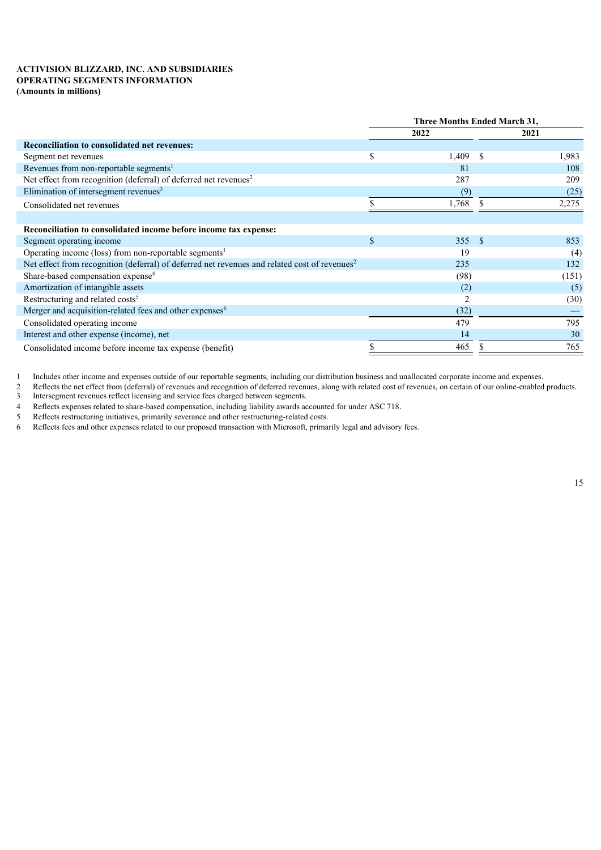## **ACTIVISION BLIZZARD, INC. AND SUBSIDIARIES OPERATING SEGMENTS INFORMATION (Amounts in millions)**

|                                                                                                           |               | Three Months Ended March 31, |    |       |
|-----------------------------------------------------------------------------------------------------------|---------------|------------------------------|----|-------|
|                                                                                                           |               | 2022                         |    | 2021  |
| <b>Reconciliation to consolidated net revenues:</b>                                                       |               |                              |    |       |
| Segment net revenues                                                                                      | \$            | 1,409                        | -S | 1,983 |
| Revenues from non-reportable segments <sup>1</sup>                                                        |               | 81                           |    | 108   |
| Net effect from recognition (deferral) of deferred net revenues <sup>2</sup>                              |               | 287                          |    | 209   |
| Elimination of intersegment revenues <sup>3</sup>                                                         |               | (9)                          |    | (25)  |
| Consolidated net revenues                                                                                 |               | 1,768                        |    | 2,275 |
|                                                                                                           |               |                              |    |       |
| Reconciliation to consolidated income before income tax expense:                                          |               |                              |    |       |
| Segment operating income                                                                                  | $\mathbf{\$}$ | 355S                         |    | 853   |
| Operating income (loss) from non-reportable segments <sup>1</sup>                                         |               | 19                           |    | (4)   |
| Net effect from recognition (deferral) of deferred net revenues and related cost of revenues <sup>2</sup> |               | 235                          |    | 132   |
| Share-based compensation expense <sup>4</sup>                                                             |               | (98)                         |    | (151) |
| Amortization of intangible assets                                                                         |               | (2)                          |    | (5)   |
| Restructuring and related costs <sup>5</sup>                                                              |               |                              |    | (30)  |
| Merger and acquisition-related fees and other expenses <sup>6</sup>                                       |               | (32)                         |    |       |
| Consolidated operating income                                                                             |               | 479                          |    | 795   |
| Interest and other expense (income), net                                                                  |               | 14                           |    | 30    |
| Consolidated income before income tax expense (benefit)                                                   |               | 465                          |    | 765   |

1 Includes other income and expenses outside of our reportable segments, including our distribution business and unallocated corporate income and expenses.<br>2 Reflects the net effect from (deferral) of revenues and recognit

2 Reflects the net effect from (deferral) of revenues and recognition of deferred revenues, along with related cost of revenues, on certain of our online-enabled products.<br>Intersegment revenues reflect licensing and servic Intersegment revenues reflect licensing and service fees charged between segments.

4 Reflects expenses related to share-based compensation, including liability awards accounted for under ASC 718.

5 Reflects restructuring initiatives, primarily severance and other restructuring-related costs.

6 Reflects fees and other expenses related to our proposed transaction with Microsoft, primarily legal and advisory fees.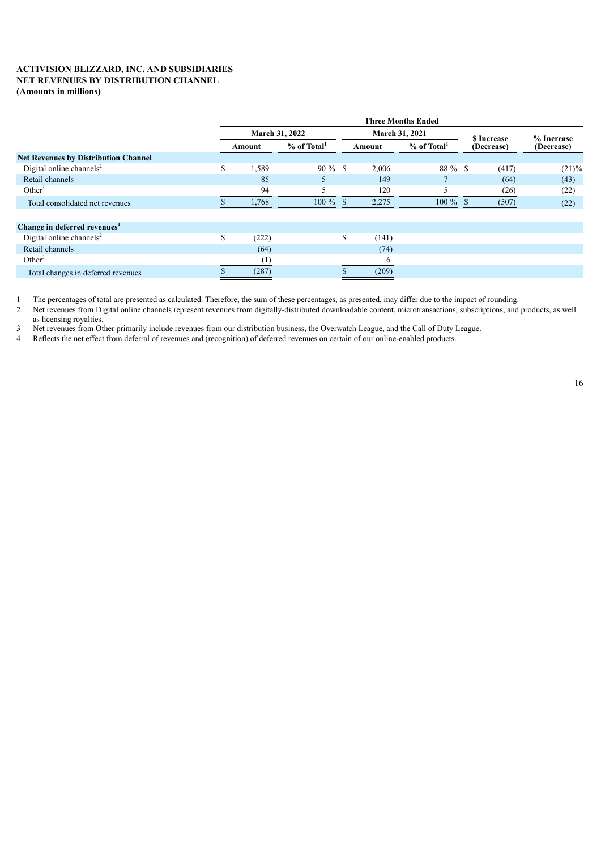## **ACTIVISION BLIZZARD, INC. AND SUBSIDIARIES NET REVENUES BY DISTRIBUTION CHANNEL (Amounts in millions)**

|                                             |     | <b>Three Months Ended</b> |             |    |        |                       |                   |            |            |  |  |  |  |
|---------------------------------------------|-----|---------------------------|-------------|----|--------|-----------------------|-------------------|------------|------------|--|--|--|--|
|                                             |     | <b>March 31, 2022</b>     |             |    |        | <b>March 31, 2021</b> | <b>S</b> Increase |            | % Increase |  |  |  |  |
|                                             |     | Amount                    | % of Total  |    | Amount | % of Total            |                   | (Decrease) | (Decrease) |  |  |  |  |
| <b>Net Revenues by Distribution Channel</b> |     |                           |             |    |        |                       |                   |            |            |  |  |  |  |
| Digital online channels <sup>2</sup>        | \$. | 1,589                     | $90\%$ \$   |    | 2,006  | 88 % \$               |                   | (417)      | $(21)\%$   |  |  |  |  |
| Retail channels                             |     | 85                        | 5           |    | 149    |                       |                   | (64)       | (43)       |  |  |  |  |
| Other <sup>3</sup>                          |     | 94                        | 5           |    | 120    | 5                     |                   | (26)       | (22)       |  |  |  |  |
| Total consolidated net revenues             |     | 1,768                     | $100 \%$ \$ |    | 2,275  | $100 \%$ \$           |                   | (507)      | (22)       |  |  |  |  |
|                                             |     |                           |             |    |        |                       |                   |            |            |  |  |  |  |
| Change in deferred revenues <sup>4</sup>    |     |                           |             |    |        |                       |                   |            |            |  |  |  |  |
| Digital online channels <sup>2</sup>        | \$  | (222)                     |             | \$ | (141)  |                       |                   |            |            |  |  |  |  |
| Retail channels                             |     | (64)                      |             |    | (74)   |                       |                   |            |            |  |  |  |  |
| Other <sup>3</sup>                          |     | (1)                       |             |    | 6      |                       |                   |            |            |  |  |  |  |
| Total changes in deferred revenues          |     | (287)                     |             |    | (209)  |                       |                   |            |            |  |  |  |  |

1 The percentages of total are presented as calculated. Therefore, the sum of these percentages, as presented, may differ due to the impact of rounding.

2 Net revenues from Digital online channels represent revenues from digitally-distributed downloadable content, microtransactions, subscriptions, and products, as well as licensing royalties.

3 Net revenues from Other primarily include revenues from our distribution business, the Overwatch League, and the Call of Duty League.

4 Reflects the net effect from deferral of revenues and (recognition) of deferred revenues on certain of our online-enabled products.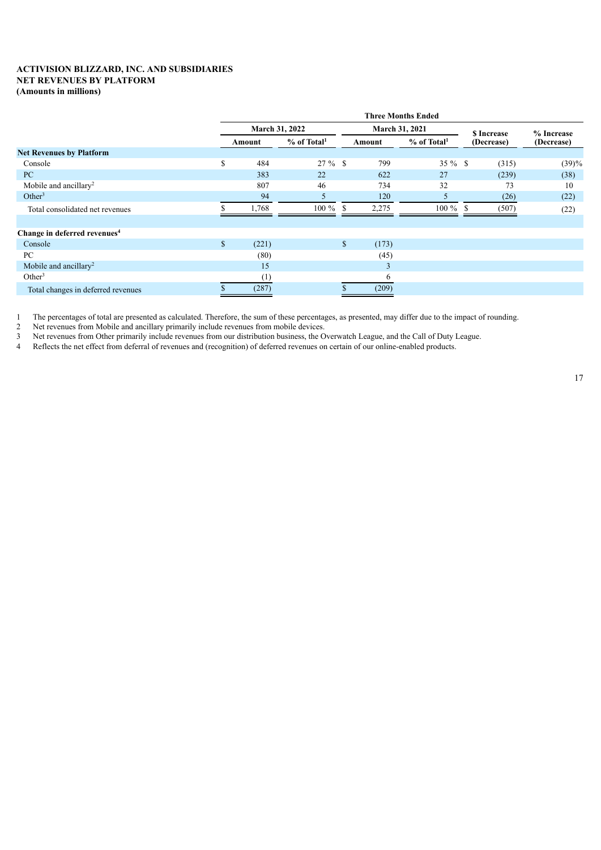## **ACTIVISION BLIZZARD, INC. AND SUBSIDIARIES NET REVENUES BY PLATFORM (Amounts in millions)**

|                                          |              | <b>Three Months Ended</b> |                         |              |              |                           |                   |            |            |  |  |  |
|------------------------------------------|--------------|---------------------------|-------------------------|--------------|--------------|---------------------------|-------------------|------------|------------|--|--|--|
|                                          |              |                           | March 31, 2022          |              |              | <b>March 31, 2021</b>     | <b>S</b> Increase |            | % Increase |  |  |  |
|                                          |              | Amount                    | % of Total <sup>1</sup> |              | Amount       | $%$ of Total <sup>1</sup> |                   | (Decrease) | (Decrease) |  |  |  |
| <b>Net Revenues by Platform</b>          |              |                           |                         |              |              |                           |                   |            |            |  |  |  |
| Console                                  | S            | 484                       | $27 \%$ \$              |              | 799          | $35 \%$ \$                |                   | (315)      | (39)%      |  |  |  |
| PC                                       |              | 383                       | 22                      |              | 622          | 27                        |                   | (239)      | (38)       |  |  |  |
| Mobile and ancillary <sup>2</sup>        |              | 807                       | 46                      |              | 734          | 32                        |                   | 73         | 10         |  |  |  |
| Other <sup>3</sup>                       |              | 94                        | 5                       |              | 120          | 5                         |                   | (26)       | (22)       |  |  |  |
| Total consolidated net revenues          |              | 1,768                     | $100\%$                 | -S           | 2,275        | $100 \%$                  | -S                | (507)      | (22)       |  |  |  |
|                                          |              |                           |                         |              |              |                           |                   |            |            |  |  |  |
| Change in deferred revenues <sup>4</sup> |              |                           |                         |              |              |                           |                   |            |            |  |  |  |
| Console                                  | $\mathbb{S}$ | (221)                     |                         | $\mathbb{S}$ | (173)        |                           |                   |            |            |  |  |  |
| PC                                       |              | (80)                      |                         |              | (45)         |                           |                   |            |            |  |  |  |
| Mobile and ancillary <sup>2</sup>        |              | 15                        |                         |              | 3            |                           |                   |            |            |  |  |  |
| Other <sup>3</sup>                       |              | (1)                       |                         |              | <sub>(</sub> |                           |                   |            |            |  |  |  |
| Total changes in deferred revenues       |              | (287)                     |                         |              | (209)        |                           |                   |            |            |  |  |  |

1 The percentages of total are presented as calculated. Therefore, the sum of these percentages, as presented, may differ due to the impact of rounding.<br>2 Net revenues from Mobile and ancillary primarily include revenues f

2 Net revenues from Mobile and ancillary primarily include revenues from mobile devices.

3 Net revenues from Other primarily include revenues from our distribution business, the Overwatch League, and the Call of Duty League.

4 Reflects the net effect from deferral of revenues and (recognition) of deferred revenues on certain of our online-enabled products.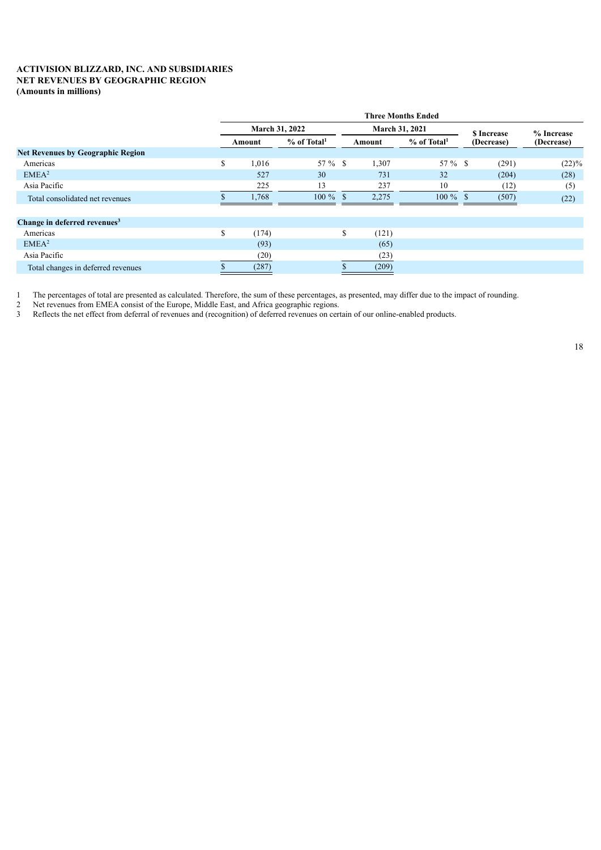## **ACTIVISION BLIZZARD, INC. AND SUBSIDIARIES NET REVENUES BY GEOGRAPHIC REGION (Amounts in millions)**

|                                          |    | <b>Three Months Ended</b> |                           |    |                       |                         |                   |            |            |  |  |  |  |
|------------------------------------------|----|---------------------------|---------------------------|----|-----------------------|-------------------------|-------------------|------------|------------|--|--|--|--|
|                                          |    | <b>March 31, 2022</b>     |                           |    | <b>March 31, 2021</b> |                         | <b>S</b> Increase |            | % Increase |  |  |  |  |
|                                          |    | Amount                    | $%$ of Total <sup>1</sup> |    | Amount                | % of Total <sup>1</sup> |                   | (Decrease) | (Decrease) |  |  |  |  |
| <b>Net Revenues by Geographic Region</b> |    |                           |                           |    |                       |                         |                   |            |            |  |  |  |  |
| Americas                                 | S  | 1,016                     | 57 % \$                   |    | 1,307                 | 57 % \$                 |                   | (291)      | $(22)\%$   |  |  |  |  |
| EMEA <sup>2</sup>                        |    | 527                       | 30                        |    | 731                   | 32                      |                   | (204)      | (28)       |  |  |  |  |
| Asia Pacific                             |    | 225                       | 13                        |    | 237                   | 10                      |                   | (12)       | (5)        |  |  |  |  |
| Total consolidated net revenues          |    | 1,768                     | $100 \%$ \$               |    | 2,275                 | $100 \%$ \$             |                   | (507)      | (22)       |  |  |  |  |
|                                          |    |                           |                           |    |                       |                         |                   |            |            |  |  |  |  |
| Change in deferred revenues <sup>3</sup> |    |                           |                           |    |                       |                         |                   |            |            |  |  |  |  |
| Americas                                 | \$ | (174)                     |                           | \$ | (121)                 |                         |                   |            |            |  |  |  |  |
| EMEA <sup>2</sup>                        |    | (93)                      |                           |    | (65)                  |                         |                   |            |            |  |  |  |  |
| Asia Pacific                             |    | (20)                      |                           |    | (23)                  |                         |                   |            |            |  |  |  |  |
| Total changes in deferred revenues       |    | (287)                     |                           |    | (209)                 |                         |                   |            |            |  |  |  |  |

1 The percentages of total are presented as calculated. Therefore, the sum of these percentages, as presented, may differ due to the impact of rounding.

2 Net revenues from EMEA consist of the Europe, Middle East, and Africa geographic regions.

3 Reflects the net effect from deferral of revenues and (recognition) of deferred revenues on certain of our online-enabled products.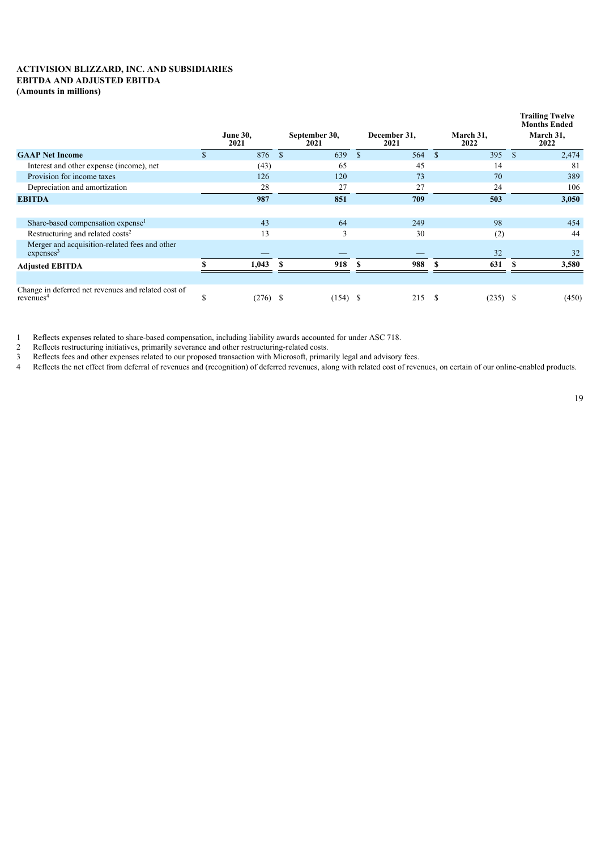## **ACTIVISION BLIZZARD, INC. AND SUBSIDIARIES EBITDA AND ADJUSTED EBITDA (Amounts in millions)**

|                                                                              |   |                         |               |                       |    |                      |               |                   |    | <b>Trailing Twelve</b><br><b>Months Ended</b> |
|------------------------------------------------------------------------------|---|-------------------------|---------------|-----------------------|----|----------------------|---------------|-------------------|----|-----------------------------------------------|
|                                                                              |   | <b>June 30,</b><br>2021 |               | September 30,<br>2021 |    | December 31,<br>2021 |               | March 31,<br>2022 |    | March 31,<br>2022                             |
| <b>GAAP Net Income</b>                                                       |   | 876                     | <sup>\$</sup> | 639                   | -S | 564                  | <sup>\$</sup> | 395               | -S | 2,474                                         |
| Interest and other expense (income), net                                     |   | (43)                    |               | 65                    |    | 45                   |               | 14                |    | -81                                           |
| Provision for income taxes                                                   |   | 126                     |               | 120                   |    | 73                   |               | 70                |    | 389                                           |
| Depreciation and amortization                                                |   | 28                      |               | 27                    |    | 27                   |               | 24                |    | 106                                           |
| <b>EBITDA</b>                                                                |   | 987                     |               | 851                   |    | 709                  |               | 503               |    | 3,050                                         |
|                                                                              |   |                         |               |                       |    |                      |               |                   |    |                                               |
| Share-based compensation expense <sup>1</sup>                                |   | 43                      |               | 64                    |    | 249                  |               | 98                |    | 454                                           |
| Restructuring and related costs <sup>2</sup>                                 |   | 13                      |               | 3                     |    | 30                   |               | (2)               |    | 44                                            |
| Merger and acquisition-related fees and other<br>expenses <sup>3</sup>       |   |                         |               |                       |    |                      |               | 32                |    | 32                                            |
| <b>Adjusted EBITDA</b>                                                       |   | 1,043                   | S.            | 918                   | -S | 988                  | S             | 631               |    | 3,580                                         |
|                                                                              |   |                         |               |                       |    |                      |               |                   |    |                                               |
| Change in deferred net revenues and related cost of<br>revenues <sup>4</sup> | ъ | $(276)$ \$              |               | $(154)$ \$            |    | 215                  | S             | $(235)$ \$        |    | (450)                                         |

1 Reflects expenses related to share-based compensation, including liability awards accounted for under ASC 718.

2 Reflects restructuring initiatives, primarily severance and other restructuring-related costs.

3 Reflects fees and other expenses related to our proposed transaction with Microsoft, primarily legal and advisory fees.<br>4 Reflects the net effect from deferral of revenues and (recognition) of deferred revenues, along wi

Reflects the net effect from deferral of revenues and (recognition) of deferred revenues, along with related cost of revenues, on certain of our online-enabled products.